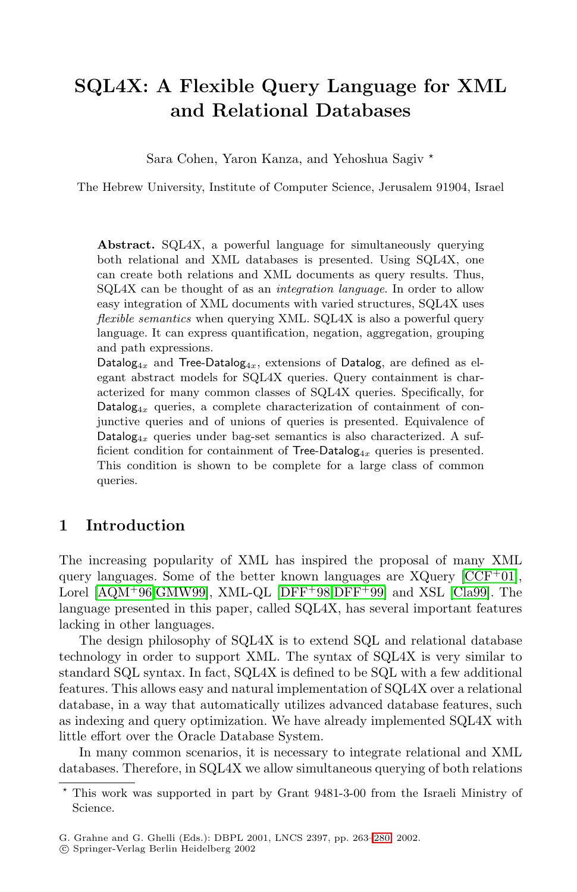# **SQL4X: A Flexible Query Language for XML and Relational Databases**

Sara Cohen, Yaron Kanza, and Yehoshua Sagiv

The Hebrew University, Institute of Computer Science, Jerusalem 91904, Israel

**Abstract.** SQL4X, a powerful language for simultaneously querying both relational and XML databases is presented. Using SQL4X, one can create both relations and XML documents as query results. Thus, SQL4X can be thought of as an integration language. In order to allow easy integration of XML documents with varied structures, SQL4X uses flexible semantics when querying XML. SQL4X is also a powerful query language. It can express quantification, negation, aggregation, grouping and path expressions.

Datalog<sub>4x</sub> and Tree-Datalog<sub>4x</sub>, extensions of Datalog, are defined as elegant abstract models for SQL4X queries. Query containment is characterized for many common classes of SQL4X queries. Specifically, for  $Database$  queries, a complete characterization of containment of conjunctive queries and of unions of queries is presented. Equivalence of  $\mathsf{Database}_{4x}$  queries under bag-set semantics is also characterized. A sufficient condition for containment of Tree-Datalog<sub>4x</sub> queries is presented. This condition is shown to be complete for a large class of common queries.

### **[1](#page-17-0) Introduc[tion](#page-16-0)**

The increasing popularity of XML has inspired the proposal of many XML query languages. Some of the better known languages are  $XQuery$  [CCF<sup>+</sup>01], Lorel [AQM+96,GMW99], XML-QL [DFF+98,DFF+99] and XSL [Cla99]. The language presented in this paper, called SQL4X, has several important features lacking in other languages.

The design philosophy of SQL4X is to extend SQL and relational database technology in order to support XML. The syntax of SQL4X is very similar to standard SQL syntax. In fact, SQL4X is defined to be SQL with a few additional features. This allows easy and natural implementation of SQL4X over a relational database, in a way that automatically utilizes advanced database features, such as indexing and query optimization. We have already implemented SQL4X with little effort over the Oracle Database System.

In many common scenarios, it is necessary to integrate relational and XML databases. Therefore, in SQL4X [we](#page-17-1) [a](#page-17-1)llow simultaneous querying of both relations

This work was supported in part by Grant 9481-3-00 from the Israeli Ministry of Science.

G. Grahne and G. Ghelli (Eds.): DBPL 2001, LNCS 2397, pp. 263–280, 2002.

c Springer-Verlag Berlin Heidelberg 2002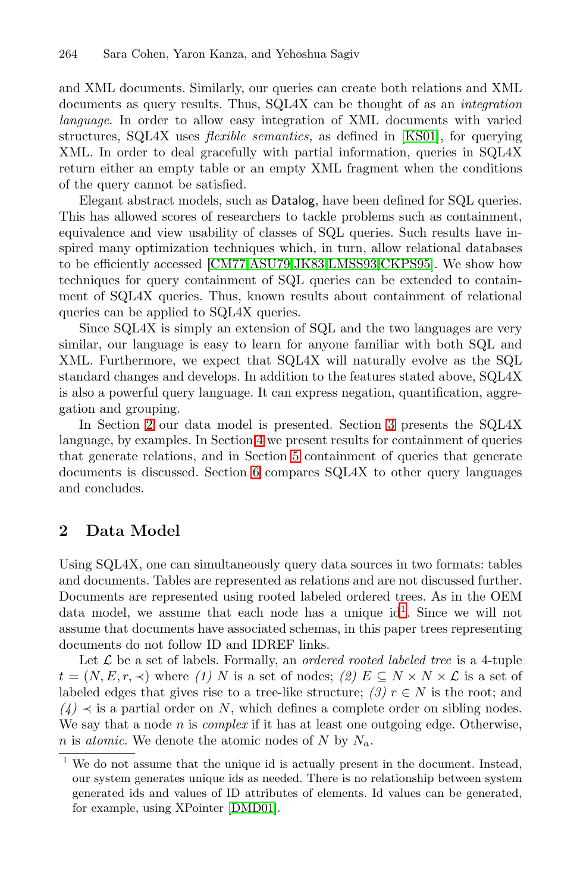and XML documents. Similarly, our queries can create both relations and XML documents as query results. Thus, SQL4X can be thought of as an *integration language*. In order to allow easy integration of XML documents with varied structures, SQL4X uses *flexible semantics,* as defined in [\[KS01\]](#page-17-0), for querying XML. In order to deal gracefully with partial information, queries in SQL4X return either an empty table or an empty XML fragment when the conditions of the query cannot be satisfied.

Elegant abstract models, such as Datalog, have been defined for SQL queries. This has allowed scores of researchers to tackle problems such as containment, equivalence and view usability of classes of SQL queries. Such results have inspired many optimization techniques which, in turn, allow relational databases to be efficiently accessed [\[CM77,ASU79](#page-16-0)[,JK83,LMSS93](#page-17-0)[,CKPS95\]](#page-16-0). We show how techniques for query containment of SQL queries can be extended to containment of SQL4X queries. Thus, known results about containment of relational queries can be applied to SQL4X queries.

Since SQL4X is simply an extension of SQL and the two languages are very similar, our language is easy to learn for anyone familiar with both SQL and XML. Furthermore, we expect that SQL4X will naturally evolve as the SQL standard changes and develops. In addition to the features stated above, SQL4X is also a powerful query language. It can express negation, quantification, aggregation and grouping.

In Section 2 our data model is presented. Section [3](#page-2-0) presents the SQL4X language, by examples. In Section [4](#page-7-0) we present results for containment of queries that generate relations, and in Section [5](#page-12-0) containment of queries that generate documents is discussed. Section [6](#page-15-0) compares SQL4X to other query languages and concludes.

### **2 Data Model**

Using SQL4X, one can simultaneously query data sources in two formats: tables and documents. Tables are represented as relations and are not discussed further. Documents are represented using rooted labeled ordered trees. As in the OEM data model, we assume that each node has a unique  $id<sup>1</sup>$ . Since we will not assume that documents have associated schemas, in this paper trees representing documents do not follow ID and IDREF links.

Let  $\mathcal L$  be a set of labels. Formally, an *ordered rooted labeled tree* is a 4-tuple  $t = (N, E, r, \prec)$  where (1) N is a set of nodes; (2)  $E \subseteq N \times N \times \mathcal{L}$  is a set of labeled edges that gives rise to a tree-like structure;  $(3)$   $r \in N$  is the root; and  $(4)$   $\prec$  is a partial order on N, which defines a complete order on sibling nodes. We say that a node n is *complex* if it has at least one outgoing edge. Otherwise, *n* is *atomic*. We denote the atomic nodes of N by  $N_a$ .

We do not assume that the unique id is actually present in the document. Instead, our system generates unique ids as needed. There is no relationship between system generated ids and values of ID attributes of elements. Id values can be generated, for example, using XPointer [\[DMD01\]](#page-16-0).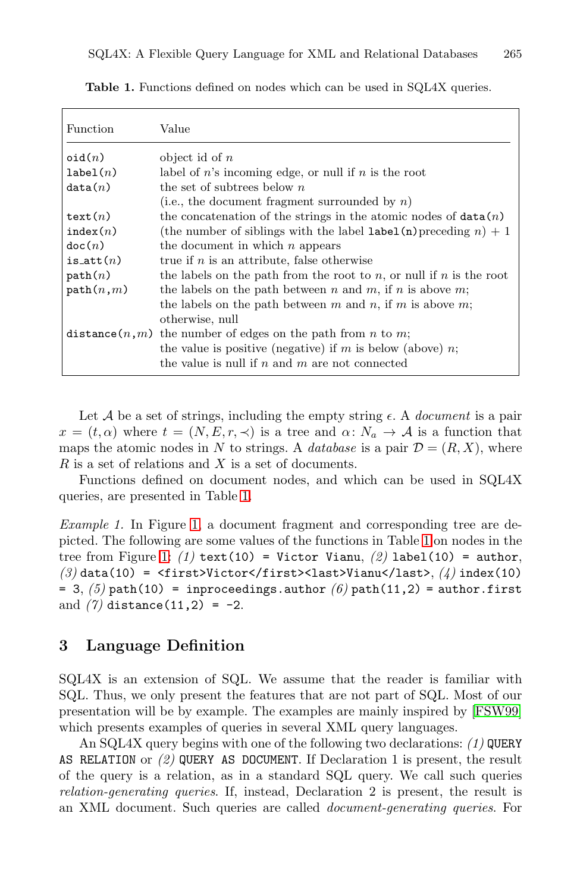| Function        | Value                                                                 |
|-----------------|-----------------------------------------------------------------------|
| $\text{oid}(n)$ | object id of $n$                                                      |
| label(n)        | label of $n$ 's incoming edge, or null if $n$ is the root             |
| data(n)         | the set of subtrees below $n$                                         |
|                 | (i.e., the document fragment surrounded by $n$ )                      |
| text(n)         | the concatenation of the strings in the atomic nodes of $data(n)$     |
| index(n)        | (the number of siblings with the label $label(n)$ preceding $n$ ) + 1 |
| doc(n)          | the document in which $n$ appears                                     |
| is_att $(n)$    | true if $n$ is an attribute, false otherwise                          |
| path(n)         | the labels on the path from the root to n, or null if n is the root   |
| path(n,m)       | the labels on the path between n and m, if n is above m;              |
|                 | the labels on the path between m and n, if m is above m;              |
|                 | otherwise, null                                                       |
|                 | distance $(n, m)$ the number of edges on the path from n to m;        |
|                 | the value is positive (negative) if m is below (above) n;             |
|                 | the value is null if $n$ and $m$ are not connected                    |

<span id="page-2-0"></span>**Table 1.** Functions defined on nodes which can be used in SQL4X queries.

Let A be a set of strings, including the empty string  $\epsilon$ . A *document* is a pair  $x = (t, \alpha)$  where  $t = (N, E, r, \prec)$  is a tree and  $\alpha \colon N_a \to A$  is a function that maps the atomic nodes in N to strings. A *database* is a pair  $\mathcal{D} = (R, X)$ , where  $R$  is a set of relations and  $X$  is a set of documents.

Functions defined on document nodes, and which can be used in SQL4X queries, are presented in Table 1.

*Example 1.* In Figure [1,](#page-3-0) a document fragment and corresponding tree are depicted. The following are some values of the functions in Table 1 on nodes in the tree from Figure [1:](#page-3-0)  $(1)$  text(10) = Victor Vianu,  $(2)$  label(10) = author,  $(3)$  data(10) =  $\langle$ first>Victor</first><last>Vianu</last>,  $(4)$  index(10)  $= 3, (5)$  path(10) = inproceedings.author  $(6)$  path(11,2) = author.first and  $(7)$  distance(11,2) = -2.

### **3 Language Definition**

SQL4X is an extension of SQL. We assume that the reader is familiar with SQL. Thus, we only present the features that are not part of SQL. Most of our presentation will be by example. The examples are mainly inspired by [\[FSW99\]](#page-17-0) which presents examples of queries in several XML query languages.

An SQL4X query begins with one of the following two declarations: *(1)* QUERY AS RELATION or *(2)* QUERY AS DOCUMENT. If Declaration 1 is present, the result of the query is a relation, as in a standard SQL query. We call such queries *relation-generating queries*. If, instead, Declaration 2 is present, the result is an XML document. Such queries are called *document-generating queries*. For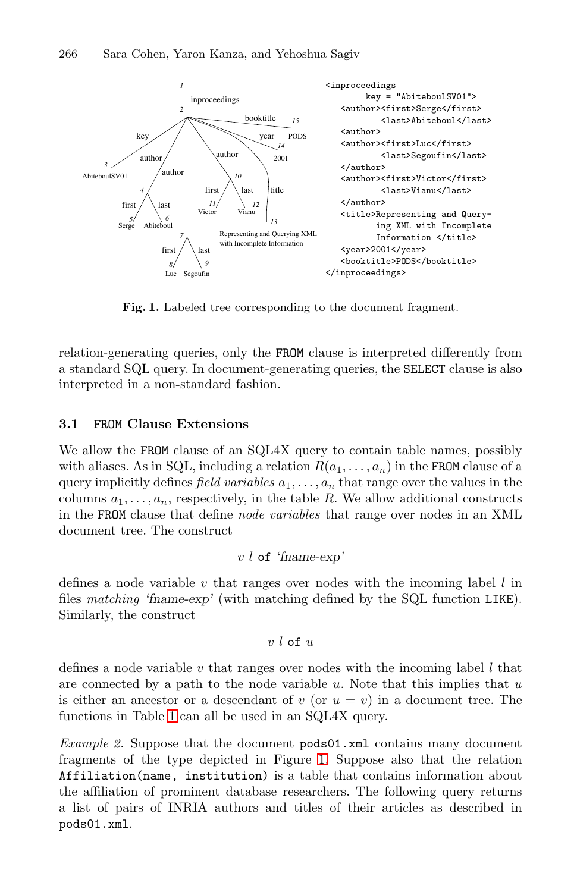<span id="page-3-0"></span>

Fig. 1. Labeled tree corresponding to the document fragment.

relation-generating queries, only the FROM clause is interpreted differently from a standard SQL query. In document-generating queries, the SELECT clause is also interpreted in a non-standard fashion.

#### **3.1** FROM **Clause Extensions**

We allow the FROM clause of an SQL4X query to contain table names, possibly with aliases. As in SQL, including a relation  $R(a_1,\ldots,a_n)$  in the FROM clause of a query implicitly defines *field variables*  $a_1, \ldots, a_n$  that range over the values in the columns  $a_1, \ldots, a_n$ , respectively, in the table R. We allow additional constructs in the FROM clause that define *node variables* that range over nodes in an XML document tree. The construct

$$
v \text{ } l \text{ of } 'frame\text{-}exp'
$$

defines a node variable  $v$  that ranges over nodes with the incoming label  $l$  in files *matching* 'fname-exp' (with matching defined by the SQL function LIKE). Similarly, the construct

 $v \, l \,$  of  $u$ 

defines a node variable v that ranges over nodes with the incoming label  $l$  that are connected by a path to the node variable  $u$ . Note that this implies that  $u$ is either an ancestor or a descendant of v (or  $u = v$ ) in a document tree. The functions in Table [1](#page-2-0) can all be used in an SQL4X query.

*Example 2.* Suppose that the document pods01.xml contains many document fragments of the type depicted in Figure 1. Suppose also that the relation Affiliation(name, institution) is a table that contains information about the affiliation of prominent database researchers. The following query returns a list of pairs of INRIA authors and titles of their articles as described in pods01.xml.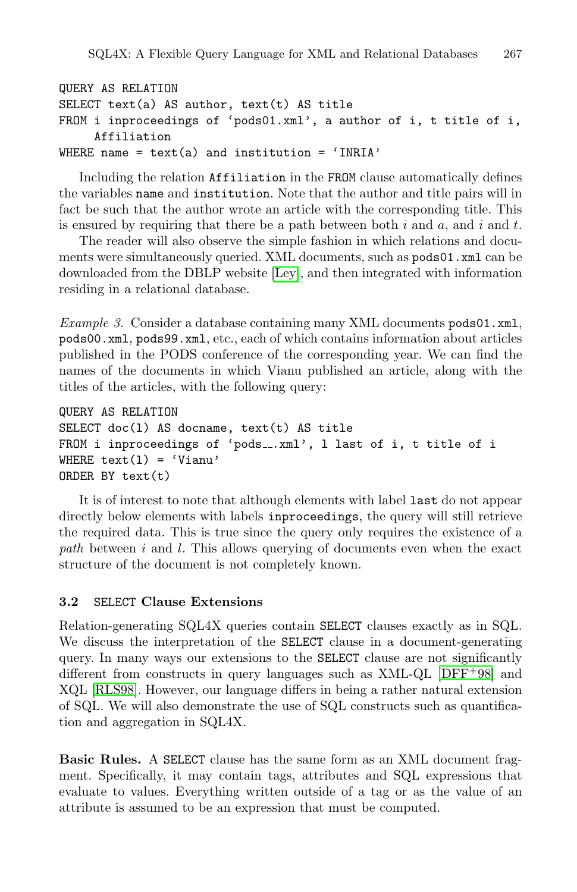```
QUERY AS RELATION
SELECT text(a) AS author, text(t) AS title
FROM i inproceedings of 'pods01.xml', a author of i, t title of i,
     Affiliation
WHERE name = text(a) and institution = 'INRIA'
```
Including the relation Affiliation in the FROM clause automatically defines the variables name and institution. Note that the author and title pairs will in fact be such that the author wrote an article with the corresponding title. This is ensured by requiring that there be a path between both  $i$  and  $a$ , and  $i$  and  $t$ .

The reader will also observe the simple fashion in which relations and documents were simultaneously queried. XML documents, such as  $pods01.xml$  can be downloaded from the DBLP website [\[Ley\]](#page-17-0), and then integrated with information residing in a relational database.

*Example 3.* Consider a database containing many XML documents pods01.xml, pods00.xml, pods99.xml, etc., each of which contains information about articles published in the PODS conference of the corresponding year. We can find the names of the documents in which Vianu published an article, along with the titles of the articles, with the following query:

```
QUERY AS RELATION
SELECT doc(l) AS docname, text(t) AS title
FROM i inproceedings of 'pods_.xml', 1 last of i, t title of i
WHERE text(1) = 'Vianu'
ORDER BY text(t)
```
It is of interest to note that although elements with label last do not appear directly below elements with labels inproceedings, the query will still retrieve the required data. This is true since the query only requires the existence of a *path* between i and l. This allows querying of documents even when the exact structure of the document is not completely known.

#### **3.2** SELECT **Clause Extensions**

Relation-generating SQL4X queries contain SELECT clauses exactly as in SQL. We discuss the interpretation of the SELECT clause in a document-generating query. In many ways our extensions to the SELECT clause are not significantly different from constructs in query languages such as XML-QL [\[DFF](#page-16-0)<sup>+</sup>98] and XQL [\[RLS98\]](#page-17-0). However, our language differs in being a rather natural extension of SQL. We will also demonstrate the use of SQL constructs such as quantification and aggregation in SQL4X.

**Basic Rules.** A SELECT clause has the same form as an XML document fragment. Specifically, it may contain tags, attributes and SQL expressions that evaluate to values. Everything written outside of a tag or as the value of an attribute is assumed to be an expression that must be computed.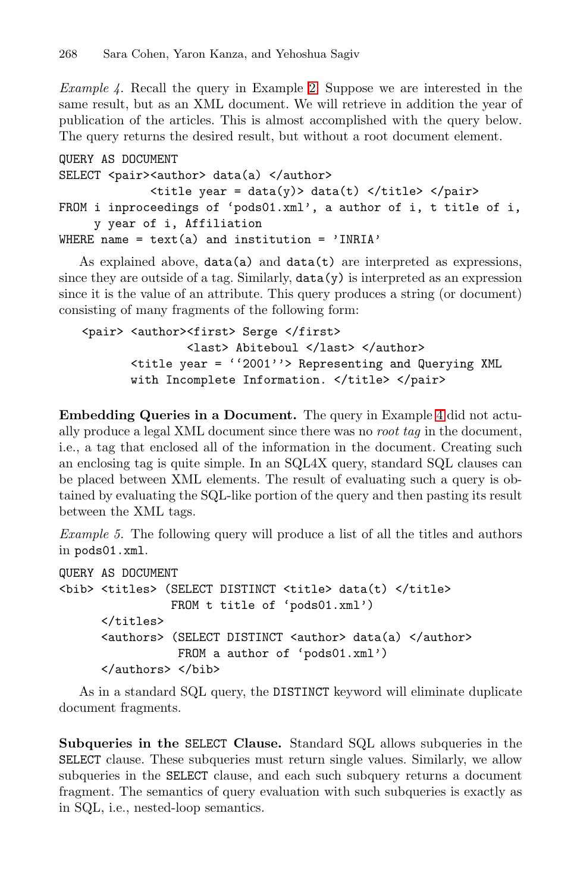*Example 4.* Recall the query in Example [2.](#page-3-0) Suppose we are interested in the same result, but as an XML document. We will retrieve in addition the year of publication of the articles. This is almost accomplished with the query below. The query returns the desired result, but without a root document element.

```
QUERY AS DOCUMENT
SELECT <pair><author> data(a) </author>
               \text{title year} = \text{data}(y) > \text{data}(t) \leq / \text{title} > \text{time}FROM i inproceedings of 'pods01.xml', a author of i, t title of i,
     y year of i, Affiliation
WHERE name = text(a) and institution = 'INRIA'
```
As explained above,  $data(a)$  and  $data(t)$  are interpreted as expressions, since they are outside of a tag. Similarly,  $data(y)$  is interpreted as an expression since it is the value of an attribute. This query produces a string (or document) consisting of many fragments of the following form:

```
<pair> <author><first> Serge </first>
               <last> Abiteboul </last> </author>
       <title year = ''2001''> Representing and Querying XML
       with Incomplete Information. </title> </pair>
```
**Embedding Queries in a Document.** The query in Example [4](#page-4-0) did not actually produce a legal XML document since there was no *root tag* in the document, i.e., a tag that enclosed all of the information in the document. Creating such an enclosing tag is quite simple. In an SQL4X query, standard SQL clauses can be placed between XML elements. The result of evaluating such a query is obtained by evaluating the SQL-like portion of the query and then pasting its result between the XML tags.

*Example 5.* The following query will produce a list of all the titles and authors in pods01.xml.

```
QUERY AS DOCUMENT
<bib> <titles> (SELECT DISTINCT <title> data(t) </title>
                FROM t title of 'pods01.xml')
      </titles>
      <authors> (SELECT DISTINCT <author> data(a) </author>
                 FROM a author of 'pods01.xml')
      </authors> </bib>
```
As in a standard SQL query, the DISTINCT keyword will eliminate duplicate document fragments.

**Subqueries in the** SELECT **Clause.** Standard SQL allows subqueries in the SELECT clause. These subqueries must return single values. Similarly, we allow subqueries in the SELECT clause, and each such subquery returns a document fragment. The semantics of query evaluation with such subqueries is exactly as in SQL, i.e., nested-loop semantics.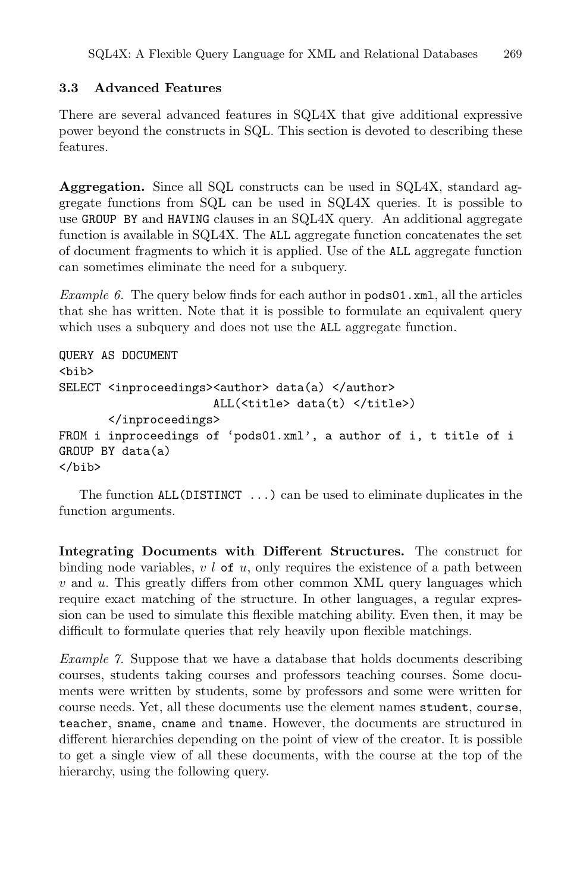#### <span id="page-6-0"></span>**3.3 Advanced Features**

There are several advanced features in SQL4X that give additional expressive power beyond the constructs in SQL. This section is devoted to describing these features.

**Aggregation.** Since all SQL constructs can be used in SQL4X, standard aggregate functions from SQL can be used in SQL4X queries. It is possible to use GROUP BY and HAVING clauses in an SQL4X query. An additional aggregate function is available in SQL4X. The ALL aggregate function concatenates the set of document fragments to which it is applied. Use of the ALL aggregate function can sometimes eliminate the need for a subquery.

*Example 6.* The query below finds for each author in pods01.xml, all the articles that she has written. Note that it is possible to formulate an equivalent query which uses a subquery and does not use the ALL aggregate function.

```
QUERY AS DOCUMENT
<bib>
SELECT <inproceedings><author> data(a) </author>
                       ALL(<title> data(t) </title>)
       </inproceedings>
FROM i inproceedings of 'pods01.xml', a author of i, t title of i
GROUP BY data(a)
\langle/bib>
```
The function ALL(DISTINCT ...) can be used to eliminate duplicates in the function arguments.

**Integrating Documents with Different Structures.** The construct for binding node variables,  $v \, l$  of  $u$ , only requires the existence of a path between  $v$  and  $u$ . This greatly differs from other common XML query languages which require exact matching of the structure. In other languages, a regular expression can be used to simulate this flexible matching ability. Even then, it may be difficult to formulate queries that rely heavily upon flexible matchings.

*Example 7.* Suppose that we have a database that holds documents describing courses, students taking courses and professors teaching courses. Some documents were written by students, some by professors and some were written for course needs. Yet, all these documents use the element names student, course, teacher, sname, cname and tname. However, the documents are structured in different hierarchies depending on the point of view of the creator. It is possible to get a single view of all these documents, with the course at the top of the hierarchy, using the following query.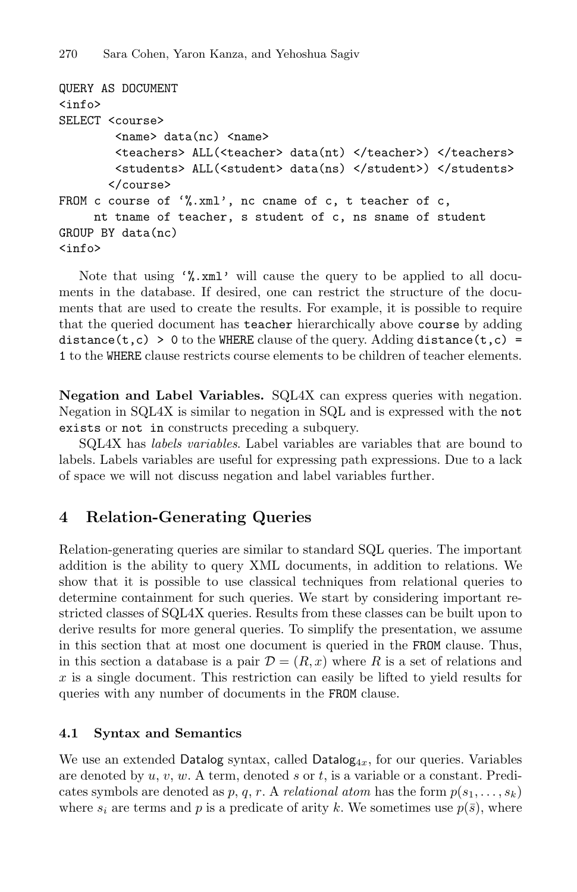```
QUERY AS DOCUMENT
<info>
SELECT <course>
        \langlename\rangle data(nc) \langlename\rangle<teachers> ALL(<teacher> data(nt) </teacher>) </teachers>
        <students> ALL(<student> data(ns) </student>) </students>
       </course>
FROM c course of '%.xml', nc cname of c, t teacher of c,
     nt tname of teacher, s student of c, ns sname of student
GROUP BY data(nc)
<info>
```
Note that using  $\gamma$ .  $\mathbf{x} \in \mathbb{R}^n$  will cause the query to be applied to all documents in the database. If desired, one can restrict the structure of the documents that are used to create the results. For example, it is possible to require that the queried document has teacher hierarchically above course by adding distance(t,c) > 0 to the WHERE clause of the query. Adding distance(t,c) = 1 to the WHERE clause restricts course elements to be children of teacher elements.

**Negation and Label Variables.** SQL4X can express queries with negation. Negation in SQL4X is similar to negation in SQL and is expressed with the not exists or not in constructs preceding a subquery.

SQL4X has *labels variables*. Label variables are variables that are bound to labels. Labels variables are useful for expressing path expressions. Due to a lack of space we will not discuss negation and label variables further.

## **4 Relation-Generating Queries**

Relation-generating queries are similar to standard SQL queries. The important addition is the ability to query XML documents, in addition to relations. We show that it is possible to use classical techniques from relational queries to determine containment for such queries. We start by considering important restricted classes of SQL4X queries. Results from these classes can be built upon to derive results for more general queries. To simplify the presentation, we assume in this section that at most one document is queried in the FROM clause. Thus, in this section a database is a pair  $\mathcal{D} = (R, x)$  where R is a set of relations and x is a single document. This restriction can easily be lifted to yield results for queries with any number of documents in the FROM clause.

### **4.1 Syntax and Semantics**

We use an extended Datalog syntax, called Datalog<sub>4x</sub>, for our queries. Variables are denoted by  $u, v, w$ . A term, denoted s or  $t$ , is a variable or a constant. Predicates symbols are denoted as p, q, r. A *relational atom* has the form  $p(s_1,...,s_k)$ where  $s_i$  are terms and p is a predicate of arity k. We sometimes use  $p(\bar{s})$ , where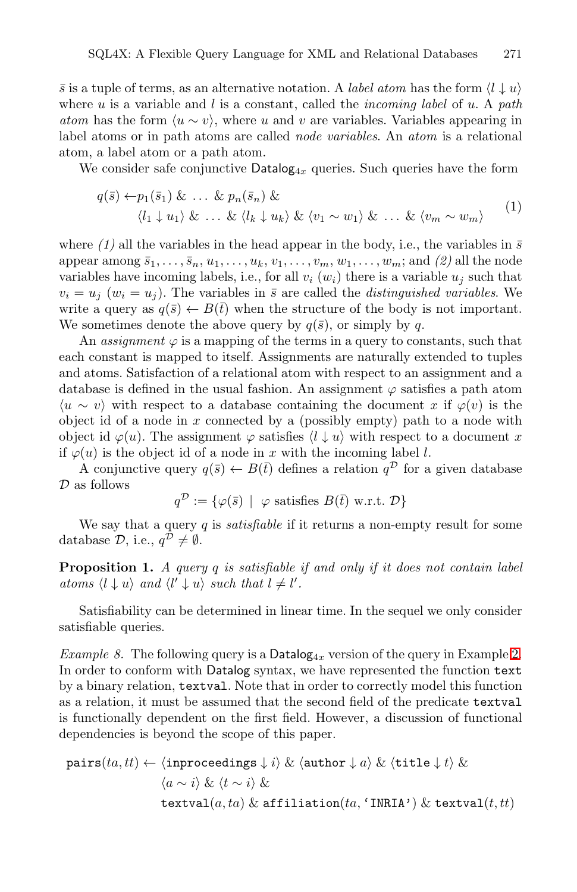<span id="page-8-0"></span> $\bar{s}$  is a tuple of terms, as an alternative notation. A *label atom* has the form  $\langle l \downarrow u \rangle$ where u is a variable and l is a constant, called the *incoming label* of u. A *path atom* has the form  $\langle u \sim v \rangle$ , where u and v are variables. Variables appearing in label atoms or in path atoms are called *node variables*. An *atom* is a relational atom, a label atom or a path atom.

We consider safe conjunctive  $\textsf{Database}_{4x}$  queries. Such queries have the form

$$
q(\bar{s}) \leftarrow p_1(\bar{s}_1) \& \dots \& p_n(\bar{s}_n) \& \langle l_1 \downarrow u_1 \rangle \& \dots \& \langle l_k \downarrow u_k \rangle \& \langle v_1 \sim w_1 \rangle \& \dots \& \langle v_m \sim w_m \rangle
$$
 (1)

where  $(1)$  all the variables in the head appear in the body, i.e., the variables in  $\bar{s}$ appear among  $\bar{s}_1,\ldots,\bar{s}_n, u_1,\ldots,u_k, v_1,\ldots,v_m, w_1,\ldots,w_m$ ; and *(2)* all the node variables have incoming labels, i.e., for all  $v_i(w_i)$  there is a variable  $u_i$  such that  $v_i = u_j$  ( $w_i = u_j$ ). The variables in  $\bar{s}$  are called the *distinguished variables*. We write a query as  $q(\bar{s}) \leftarrow B(\bar{t})$  when the structure of the body is not important. We sometimes denote the above query by  $q(\bar{s})$ , or simply by q.

An *assignment*  $\varphi$  is a mapping of the terms in a query to constants, such that each constant is mapped to itself. Assignments are naturally extended to tuples and atoms. Satisfaction of a relational atom with respect to an assignment and a database is defined in the usual fashion. An assignment  $\varphi$  satisfies a path atom  $\langle u \rangle \sim v$  with respect to a database containing the document x if  $\varphi(v)$  is the object id of a node in x connected by a (possibly empty) path to a node with object id  $\varphi(u)$ . The assignment  $\varphi$  satisfies  $\langle l \downarrow u \rangle$  with respect to a document x if  $\varphi(u)$  is the object id of a node in x with the incoming label l.

A conjunctive query  $q(\bar{s}) \leftarrow B(\bar{t})$  defines a relation  $q^{\mathcal{D}}$  for a given database D as follows

$$
q^{\mathcal{D}} := \{ \varphi(\bar{s}) \mid \varphi \text{ satisfies } B(\bar{t}) \text{ w.r.t. } \mathcal{D} \}
$$

We say that a query q is *satisfiable* if it returns a non-empty result for some database  $\mathcal{D}$ , i.e.,  $q^{\mathcal{D}} \neq \emptyset$ .

**Proposition 1.** *A query* q *is satisfiable if and only if it does not contain label* atoms  $\langle l \downarrow u \rangle$  and  $\langle l' \downarrow u \rangle$  such that  $l \neq l'$ .

Satisfiability can be determined in linear time. In the sequel we only consider satisfiable queries.

*Example 8.* The following query is a Datalog<sub>4x</sub> version of the query in Example [2.](#page-3-0) In order to conform with Datalog syntax, we have represented the function text by a binary relation, textval. Note that in order to correctly model this function as a relation, it must be assumed that the second field of the predicate textval is functionally dependent on the first field. However, a discussion of functional dependencies is beyond the scope of this paper.

$$
\begin{aligned} \texttt{pairs}(ta, tt) \leftarrow \langle \texttt{improcessedings} \downarrow i \rangle \& \langle \texttt{author} \downarrow a \rangle \& \langle \texttt{title} \downarrow t \rangle \& \\ & \langle a \sim i \rangle \& \langle t \sim i \rangle \& \\ & \texttt{textval}(a, ta) \& \texttt{affilation}(ta, \text{'INRIA'}) \& \texttt{textval}(t, tt) \end{aligned}
$$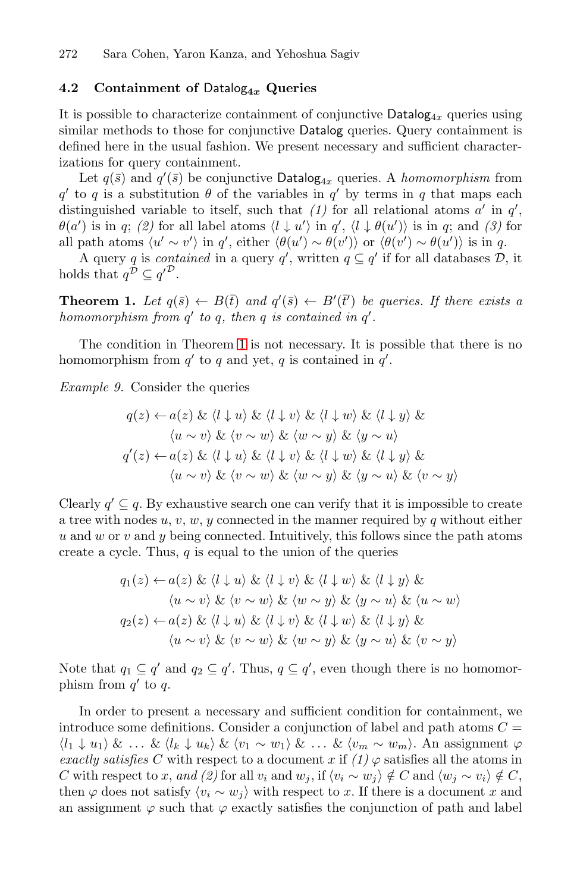#### <span id="page-9-0"></span>**4.2 Containment of** Datalog**4***<sup>x</sup>* **Queries**

It is possible to characterize containment of conjunctive  $\textsf{Database}_{4x}$  queries using similar methods to those for conjunctive Datalog queries. Query containment is defined here in the usual fashion. We present necessary and sufficient characterizations for query containment.

Let  $q(\bar{s})$  and  $q'(\bar{s})$  be conjunctive Datalog<sub>4x</sub> queries. A *homomorphism* from  $q$  is a substitution  $\theta$  of the variables in  $q'$  by terms in q that maps each  $q'$  to q is a substitution  $\theta$  of the variables in  $q'$  by terms in q that maps each distinguished variable to itself, such that  $(1)$  for all relational atoms  $a'$  in  $q'$ ,  $\theta(a')$  is in q; (2) for all label atoms  $\langle l \downarrow u' \rangle$  in q',  $\langle l \downarrow \theta(u') \rangle$  is in q; and (3) for all path atoms  $\langle u' \sim v' \rangle$  in q', either  $\langle \theta(u') \sim \theta(v') \rangle$  or  $\langle \theta(v') \sim \theta(u') \rangle$  is in q.

A query q is *contained* in a query  $q'$ , written  $q \subseteq q'$  if for all databases  $D$ , it holds that  $q^{\mathcal{D}} \subseteq q'^{\mathcal{D}}$ .

**Theorem 1.** Let  $q(\bar{s}) \leftarrow B(\bar{t})$  and  $q'(\bar{s}) \leftarrow B'(\bar{t}')$  be queries. If there exists a *homomorphism from*  $q'$  to  $q$ , then  $q$  *is contained in*  $q'$ .

The condition in Theorem 1 is not necessary. It is possible that there is no homomorphism from  $q'$  to q and yet, q is contained in  $q'$ .

*Example 9.* Consider the queries

$$
q(z) \leftarrow a(z) \& \langle l \downarrow u \rangle \& \langle l \downarrow v \rangle \& \langle l \downarrow w \rangle \& \langle l \downarrow y \rangle \&
$$

$$
\langle u \sim v \rangle \& \langle v \sim w \rangle \& \langle w \sim y \rangle \& \langle y \sim u \rangle
$$

$$
q'(z) \leftarrow a(z) \& \langle l \downarrow u \rangle \& \langle l \downarrow v \rangle \& \langle l \downarrow w \rangle \& \langle l \downarrow y \rangle \&
$$

$$
\langle u \sim v \rangle \& \langle v \sim w \rangle \& \langle w \sim y \rangle \& \langle y \sim u \rangle \& \langle v \sim y \rangle
$$

Clearly  $q' \subseteq q$ . By exhaustive search one can verify that it is impossible to create a tree with nodes  $u, v, w, y$  connected in the manner required by q without either  $u$  and  $w$  or  $v$  and  $y$  being connected. Intuitively, this follows since the path atoms create a cycle. Thus,  $q$  is equal to the union of the queries

$$
q_1(z) \leftarrow a(z) \& \langle l \downarrow u \rangle \& \langle l \downarrow v \rangle \& \langle l \downarrow w \rangle \& \langle l \downarrow y \rangle \&
$$

$$
\langle u \sim v \rangle \& \langle v \sim w \rangle \& \langle w \sim y \rangle \& \langle y \sim u \rangle \& \langle u \sim w \rangle
$$

$$
q_2(z) \leftarrow a(z) \& \langle l \downarrow u \rangle \& \langle l \downarrow v \rangle \& \langle l \downarrow w \rangle \& \langle l \downarrow y \rangle \&
$$

$$
\langle u \sim v \rangle \& \langle v \sim w \rangle \& \langle w \sim y \rangle \& \langle y \sim u \rangle \& \langle v \sim y \rangle
$$

Note that  $q_1 \subseteq q'$  and  $q_2 \subseteq q'$ . Thus,  $q \subseteq q'$ , even though there is no homomorphism from  $q'$  to  $q$ .

In order to present a necessary and sufficient condition for containment, we introduce some definitions. Consider a conjunction of label and path atoms  $C =$  $\langle l_1 \downarrow u_1 \rangle \& \ldots \& \langle l_k \downarrow u_k \rangle \& \langle v_1 \sim w_1 \rangle \& \ldots \& \langle v_m \sim w_m \rangle$ . An assignment  $\varphi$ *exactly satisfies* C with respect to a document x if  $(1)$   $\varphi$  satisfies all the atoms in C with respect to x, and (2) for all  $v_i$  and  $w_j$ , if  $\langle v_i \sim w_j \rangle \notin C$  and  $\langle w_j \sim v_i \rangle \notin C$ , then  $\varphi$  does not satisfy  $\langle v_i \sim w_j \rangle$  with respect to x. If there is a document x and an assignment  $\varphi$  such that  $\varphi$  exactly satisfies the conjunction of path and label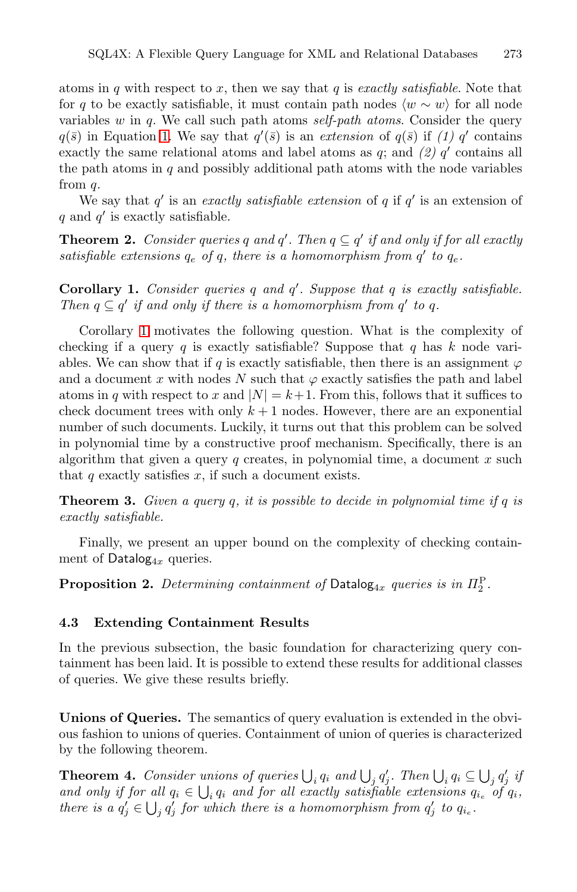atoms in q with respect to x, then we say that q is *exactly satisfiable*. Note that for q to be exactly satisfiable, it must contain path nodes  $\langle w \sim w \rangle$  for all node variables w in q. We call such path atoms *self-path atoms*. Consider the query  $q(\bar{s})$  in Equation [1.](#page-8-0) We say that  $q'(\bar{s})$  is an *extension* of  $q(\bar{s})$  if (1) q' contains exactly the same relational atoms and label atoms as  $q$ ; and  $(2)$   $q'$  contains all the path atoms in  $q$  and possibly additional path atoms with the node variables from  $\alpha$ .

We say that  $q'$  is an *exactly satisfiable extension* of  $q$  if  $q'$  is an extension of  $q$  and  $q'$  is exactly satisfiable.

**Theorem 2.** Consider queries q and  $q'$ . Then  $q \subseteq q'$  if and only if for all exactly  $satisfiable$  extensions  $q_e$  of  $q$ , there is a homomorphism from  $q'$  to  $q_e$ .

**Corollary 1.** Consider queries  $q$  and  $q'$ . Suppose that  $q$  is exactly satisfiable. *Then*  $q \subseteq q'$  *if and only if there is a homomorphism from*  $q'$  *to*  $q$ *.* 

Corollary 1 motivates the following question. What is the complexity of checking if a query  $q$  is exactly satisfiable? Suppose that  $q$  has  $k$  node variables. We can show that if q is exactly satisfiable, then there is an assignment  $\varphi$ and a document x with nodes N such that  $\varphi$  exactly satisfies the path and label atoms in q with respect to x and  $|N| = k+1$ . From this, follows that it suffices to check document trees with only  $k+1$  nodes. However, there are an exponential number of such documents. Luckily, it turns out that this problem can be solved in polynomial time by a constructive proof mechanism. Specifically, there is an algorithm that given a query  $q$  creates, in polynomial time, a document  $x$  such that  $q$  exactly satisfies  $x$ , if such a document exists.

**Theorem 3.** *Given a query* q*, it is possible to decide in polynomial time if* q *is exactly satisfiable.*

Finally, we present an upper bound on the complexity of checking containment of Datalog $_{4x}$  queries.

**Proposition 2.** Determining containment of  $\textsf{Database}_{4x}$  queries is in  $\Pi_2^{\text{P}}$ .

#### **4.3 Extending Containment Results**

In the previous subsection, the basic foundation for characterizing query containment has been laid. It is possible to extend these results for additional classes of queries. We give these results briefly.

**Unions of Queries.** The semantics of query evaluation is extended in the obvious fashion to unions of queries. Containment of union of queries is characterized by the following theorem.

**Theorem 4.** Consider unions of queries  $\bigcup_i q_i$  and  $\bigcup_j q'_j$ . Then  $\bigcup_i q_i \subseteq \bigcup_j q'_j$  if *and only if for all*  $q_i \in \bigcup_i q_i$  *and for all exactly satisfiable extensions*  $q_{i_e}$  *of*  $q_i$ *, there is a*  $q'_j \in \bigcup_j q'_j$  *for which there is a homomorphism from*  $q'_j$  *to*  $q_{i_e}$ *.*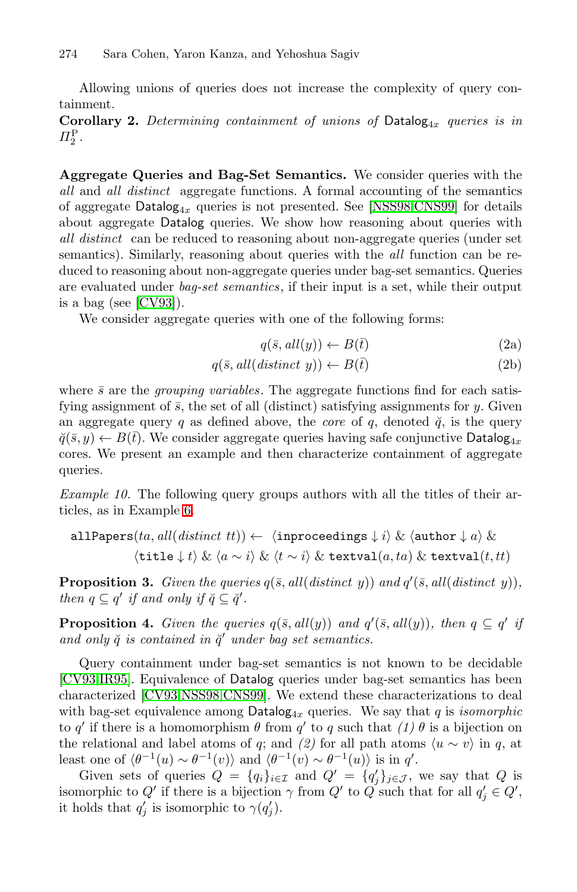Allowing unions of queries does not increase the complexity of query containment.

**Corollary 2.** Determining containment of unions of Datalog<sub>4x</sub> queries is in  $\Pi_2^{\rm P}$  .

**Aggregate Queries and Bag-Set Semantics.** We consider queries with the *all* and *all distinct* aggregate functions. A formal accounting of the semantics of aggregate Datalog<sub>4x</sub> queries is not presented. See [\[NSS98](#page-17-0)[,CNS99\]](#page-16-0) for details about aggregate Datalog queries. We show how reasoning about queries with *all distinct* can be reduced to reasoning about non-aggregate queries (under set semantics). Similarly, reasoning about queries with the *all* function can be reduced to reasoning about non-aggregate queries under bag-set semantics. Queries are evaluated under *bag-set semantics*, if their input is a set, while their output is a bag (see [\[CV93\]](#page-16-0)).

We consider aggregate queries with one of the following forms:

$$
q(\bar{s}, all(y)) \leftarrow B(\bar{t})
$$
 (2a)

$$
q(\bar{s}, all(distinct\ y)) \leftarrow B(\bar{t}) \tag{2b}
$$

where  $\bar{s}$  are the *grouping variables*. The aggregate functions find for each satisfying assignment of  $\bar{s}$ , the set of all (distinct) satisfying assignments for y. Given an aggregate query q as defined above, the *core* of q, denoted  $\breve{q}$ , is the query  $\breve{q}(\bar{s}, y) \leftarrow B(\bar{t})$ . We consider aggregate queries having safe conjunctive Datalog<sub>4x</sub><br>cores. We present an example and then characterize containment of aggregate cores. We present an example and then characterize containment of aggregate queries.

*Example 10.* The following query groups authors with all the titles of their articles, as in Example [6.](#page-6-0)

$$
\text{allPapers}(ta, all(distinct\;tt)) \leftarrow \langle \text{improceedings} \downarrow i \rangle \& \langle \text{author} \downarrow a \rangle \&
$$

$$
\langle \text{title} \downarrow t \rangle \& \langle a \sim i \rangle \& \langle t \sim i \rangle \& \text{textval}(a, ta) \& \text{textval}(t, tt)
$$

**Proposition 3.** *Given the queries*  $q(\bar{s}, all (distinct\ y))$  *and*  $q'(\bar{s}, all (distinct\ y)),$ *then*  $q \subseteq q'$  *if and only if*  $\breve{q} \subseteq \breve{q}'$ .

**Proposition 4.** Given the queries  $q(\bar{s}, all(y))$  and  $q'(\bar{s}, all(y))$ , then  $q \subseteq q'$  if and only  $\breve{q}$  is contained in  $\breve{q}'$  under bag set semantics.

Query containment under bag-set semantics is not known to be decidable [\[CV93](#page-16-0)[,IR95\]](#page-17-0). Equivalence of Datalog queries under bag-set semantics has been characterized [\[CV93](#page-16-0)[,NSS98](#page-17-0)[,CNS99\]](#page-16-0). We extend these characterizations to deal with bag-set equivalence among  $\textsf{Database}_{4x}$  queries. We say that q is *isomorphic* to q' if there is a homomorphism  $\theta$  from  $q'$  to q such that  $(1)$   $\theta$  is a bijection on the relational and label atoms of q; and (2) for all path atoms  $\langle u \sim v \rangle$  in q, at least one of  $\langle \theta^{-1}(u) \sim \theta^{-1}(v) \rangle$  and  $\langle \theta^{-1}(v) \sim \theta^{-1}(u) \rangle$  is in q'.

Given sets of queries  $Q = \{q_i\}_{i \in \mathcal{I}}$  and  $Q' = \{q'_j\}_{j \in \mathcal{J}}$ , we say that  $Q$  is isomorphic to  $Q'$  if there is a bijection  $\gamma$  from  $Q'$  to  $Q$  such that for all  $q'_{j} \in Q'$ , it holds that  $q'_j$  is isomorphic to  $\gamma(q'_j)$ .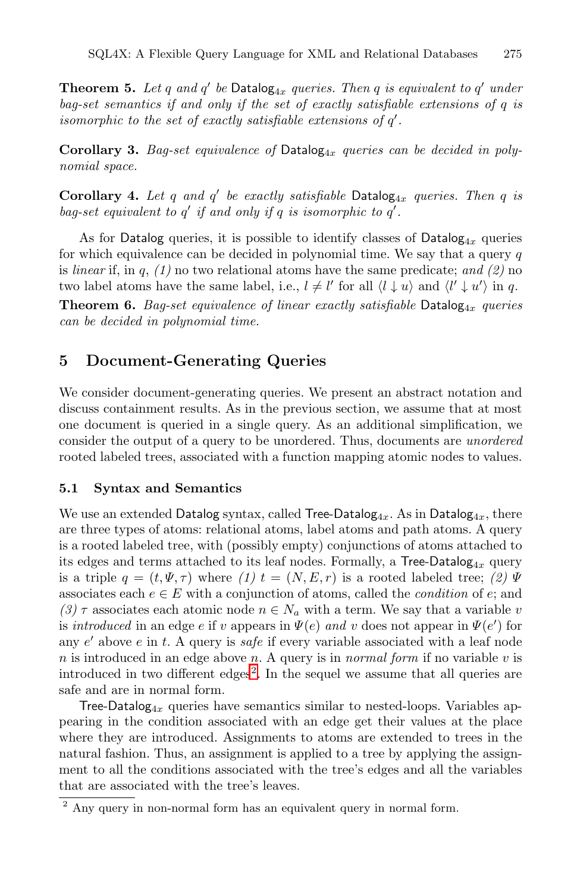<span id="page-12-0"></span>**Theorem 5.** Let q and q' be  $\text{Database}_{4x}$  queries. Then q is equivalent to q' under<br>bac-set semantics if and only if the set of exactly satisfiable extensions of a is *bag-set semantics if and only if the set of exactly satisfiable extensions of* q *is isomorphic to the set of exactly satisfiable extensions of*  $q'$ .

**Corollary 3.** Bag-set equivalence of Datalog<sub>4x</sub> queries can be decided in poly*nomial space.*

**Corollary 4.** Let q and  $q'$  be exactly satisfiable Datalog<sub>4x</sub> queries. Then q is had-set equivalent to a' if and only if a is isomorphic to a' bag-set equivalent to  $q'$  if and only if  $q$  is isomorphic to  $q'$ .

As for Datalog queries, it is possible to identify classes of Datalog<sub>4x</sub> queries for which equivalence can be decided in polynomial time. We say that a query  $q$ is *linear* if, in q, *(1)* no two relational atoms have the same predicate; *and (2)* no two label atoms have the same label, i.e.,  $l \neq l'$  for all  $\langle l \downarrow u \rangle$  and  $\langle l' \downarrow u' \rangle$  in q. **Theorem 6.** *Bag-set equivalence of linear exactly satisfiable* Datalog<sub>4x</sub> *queries can be decided in polynomial time.*

### **5 Document-Generating Queries**

We consider document-generating queries. We present an abstract notation and discuss containment results. As in the previous section, we assume that at most one document is queried in a single query. As an additional simplification, we consider the output of a query to be unordered. Thus, documents are *unordered* rooted labeled trees, associated with a function mapping atomic nodes to values.

#### **5.1 Syntax and Semantics**

We use an extended Datalog syntax, called Tree-Datalog<sub>4x</sub>. As in Datalog<sub>4x</sub>, there are three types of atoms: relational atoms, label atoms and path atoms. A query is a rooted labeled tree, with (possibly empty) conjunctions of atoms attached to its edges and terms attached to its leaf nodes. Formally, a Tree-Datalog<sub>4x</sub> query is a triple  $q = (t, \Psi, \tau)$  where  $(1)$   $t = (N, E, r)$  is a rooted labeled tree;  $(2) \Psi$ associates each  $e \in E$  with a conjunction of atoms, called the *condition* of e; and  $(3)$   $\tau$  associates each atomic node  $n \in N_a$  with a term. We say that a variable v is *introduced* in an edge e if v appears in  $\Psi(e)$  and v does not appear in  $\Psi(e')$  for any  $e'$  above  $e$  in  $t$ . A query is *safe* if every variable associated with a leaf node n is introduced in an edge above n. A query is in *normal form* if no variable v is introduced in two different edges<sup>2</sup>. In the sequel we assume that all queries are safe and are in normal form.

Tree-Datalog<sub>4x</sub> queries have semantics similar to nested-loops. Variables appearing in the condition associated with an edge get their values at the place where they are introduced. Assignments to atoms are extended to trees in the natural fashion. Thus, an assignment is applied to a tree by applying the assignment to all the conditions associated with the tree's edges and all the variables that are associated with the tree's leaves.

<sup>2</sup> Any query in non-normal form has an equivalent query in normal form.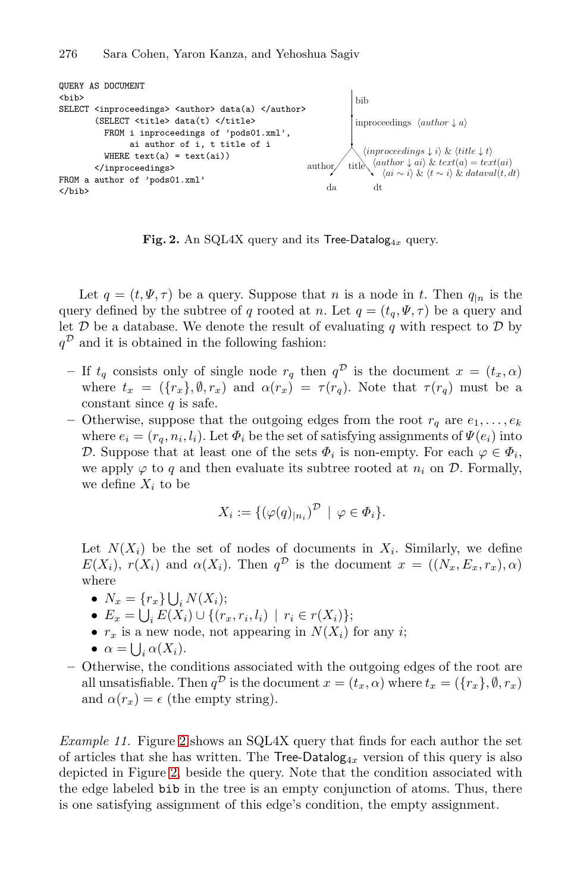```
QUERY AS DOCUMENT
<bib>
SELECT <inproceedings> <author> data(a) </author>
         (SELECT < title > data(t) </title>
            FROM i inproceedings of 'pods01.xml',
                  ai author of i, t title of i
            WHERE text(a) = text(ai))</inproceedings>
FROM a author of 'pods01.xml'
</bib>
                                                                                 \langleinproceedings \downarrow i\rangle & \langletitle \downarrow t\rangle✓
❙
❙
❙
❙✇
author title author ↓ ai & text(a) = text(ai)
ai ∼ i & t ∼ i & dataval(t, dt)
                                                                           ✓
                                                                          ✓
                                                                         ✓✴
                                                                        da dt
                                                                               bib
                                                                               inproceedings \langle author \downarrow a \rangle
```
**Fig. 2.** An SQL4X query and its Tree-Datalog<sub>4x</sub> query.

Let  $q = (t, \Psi, \tau)$  be a query. Suppose that n is a node in t. Then  $q_{n}$  is the query defined by the subtree of q rooted at n. Let  $q = (t_q, \Psi, \tau)$  be a query and let  $D$  be a database. We denote the result of evaluating  $q$  with respect to  $D$  by  $q^{\mathcal{D}}$  and it is obtained in the following fashion:

- **–** If  $t_q$  consists only of single node  $r_q$  then  $q^D$  is the document  $x = (t_x, \alpha)$ where  $t_x = (\{r_x\}, \emptyset, r_x)$  and  $\alpha(r_x) = \tau(r_q)$ . Note that  $\tau(r_q)$  must be a constant since  $q$  is safe.
- Otherwise, suppose that the outgoing edges from the root  $r_q$  are  $e_1, \ldots, e_k$ where  $e_i = (r_a, n_i, l_i)$ . Let  $\Phi_i$  be the set of satisfying assignments of  $\Psi(e_i)$  into D. Suppose that at least one of the sets  $\Phi_i$  is non-empty. For each  $\varphi \in \Phi_i$ , we apply  $\varphi$  to q and then evaluate its subtree rooted at  $n_i$  on  $\mathcal{D}$ . Formally, we define  $X_i$  to be

$$
X_i := \{ (\varphi(q)_{|n_i})^{\mathcal{D}} \mid \varphi \in \varPhi_i \}.
$$

Let  $N(X_i)$  be the set of nodes of documents in  $X_i$ . Similarly, we define  $E(X_i)$ ,  $r(X_i)$  and  $\alpha(X_i)$ . Then  $q^{\mathcal{D}}$  is the document  $x = ((N_x, E_x, r_x), \alpha)$ where

- $N_x = \{r_x\} \bigcup_i N(X_i);$
- $E_x = \bigcup_i E(X_i) \cup \{(r_x, r_i, l_i) \mid r_i \in r(X_i)\};$
- $r_x$  is a new node, not appearing in  $N(X_i)$  for any i;
- $\alpha = \bigcup_i \alpha(X_i).$
- **–** Otherwise, the conditions associated with the outgoing edges of the root are all unsatisfiable. Then  $q^{\mathcal{D}}$  is the document  $x = (t_x, \alpha)$  where  $t_x = (\{r_x\}, \emptyset, r_x)$ and  $\alpha(r_x) = \epsilon$  (the empty string).

*Example 11.* Figure 2 shows an SQL4X query that finds for each author the set of articles that she has written. The Tree-Datalog<sub>4x</sub> version of this query is also depicted in Figure 2, beside the query. Note that the condition associated with the edge labeled bib in the tree is an empty conjunction of atoms. Thus, there is one satisfying assignment of this edge's condition, the empty assignment.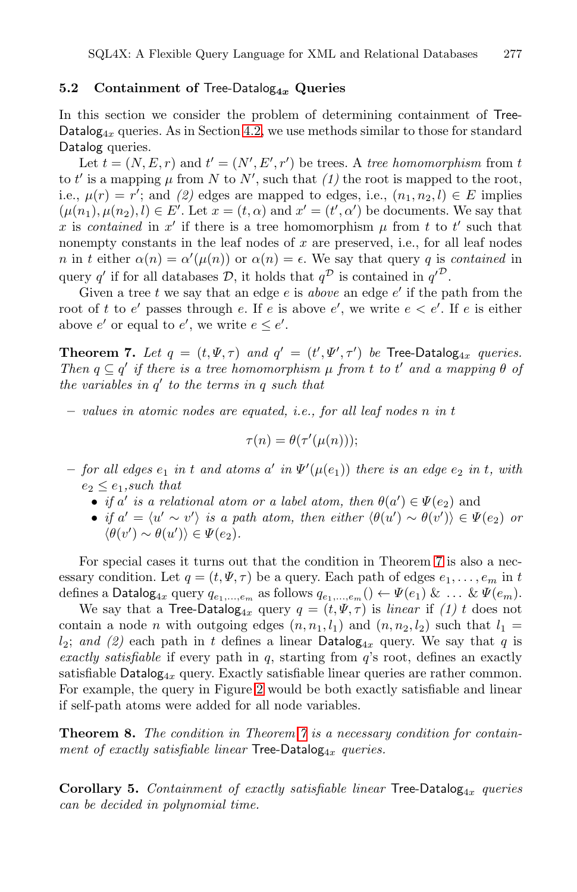#### **5.2 Containment of** Tree-Datalog**4***<sup>x</sup>* **Queries**

In this section we consider the problem of determining containment of Tree-Datalog<sub>4x</sub> queries. As in Section [4.2,](#page-9-0) we use methods similar to those for standard Datalog queries.

Let  $t = (N, E, r)$  and  $t' = (N', E', r')$  be trees. A *tree homomorphism* from t to  $t'$  is a mapping  $\mu$  from N to N', such that  $(1)$  the root is mapped to the root, i.e.,  $\mu(r) = r'$ ; and (2) edges are mapped to edges, i.e.,  $(n_1, n_2, l) \in E$  implies  $(\mu(n_1), \mu(n_2), l) \in E'.$  Let  $x = (t, \alpha)$  and  $x' = (t', \alpha')$  be documents. We say that x is *contained* in x' if there is a tree homomorphism  $\mu$  from t to t' such that nonempty constants in the leaf nodes of  $x$  are preserved, i.e., for all leaf nodes *n* in t either  $\alpha(n) = \alpha'(\mu(n))$  or  $\alpha(n) = \epsilon$ . We say that query q is *contained* in query q' if for all databases  $\mathcal{D}$ , it holds that  $q^{\mathcal{D}}$  is contained in  $q^{\mathcal{D}}$ .

Given a tree  $t$  we say that an edge  $e$  is *above* an edge  $e'$  if the path from the root of t to e' passes through e. If e is above e', we write  $e < e'$ . If e is either above e' or equal to e', we write  $e \le e'$ .

**Theorem 7.** Let  $q = (t, \Psi, \tau)$  and  $q' = (t', \Psi', \tau')$  be Tree-Datalog<sub>4x</sub> queries.<br>Then  $q \subset q'$  if there is a tree homomorphism u from t to t' and a manning  $\theta$  of *Then*  $q \subseteq q'$  *if there is a tree homomorphism*  $\mu$  *from t to t' and a mapping*  $\theta$  *of the variables in* q- *to the terms in* q *such that*

**–** *values in atomic nodes are equated, i.e., for all leaf nodes* n *in* t

$$
\tau(n) = \theta(\tau'(\mu(n))),
$$

- $-$  *for all edges*  $e_1$  *in*  $t$  *and atoms*  $a'$  *in*  $\Psi'(\mu(e_1))$  *there is an edge*  $e_2$  *in*  $t$ *, with*  $e_2 \leq e_1$ *, such that* 
	- *if* a' *is a relational atom or a label atom, then*  $\theta(a') \in \Psi(e_2)$  and
	- *if*  $a' = \langle u' \sim v' \rangle$  *is a path atom, then either*  $\langle \theta(u') \sim \theta(v') \rangle \in \Psi(e_2)$  *or*  $\langle \theta(v') \sim \theta(u') \rangle \in \Psi(e_2).$

For special cases it turns out that the condition in Theorem 7 is also a necessary condition. Let  $q = (t, \Psi, \tau)$  be a query. Each path of edges  $e_1, \ldots, e_m$  in t defines a Datalog<sub>4x</sub> query  $q_{e_1,...,e_m}$  as follows  $q_{e_1,...,e_m}$   $\phi \leftarrow \Psi(e_1) \& \dots \& \Psi(e_m)$ .

We say that a Tree-Datalog<sub>4x</sub> query  $q = (t, \Psi, \tau)$  is *linear* if (1) t does not contain a node *n* with outgoing edges  $(n, n_1, l_1)$  and  $(n, n_2, l_2)$  such that  $l_1 =$  $l_2$ ; and (2) each path in t defines a linear Datalog<sub>4x</sub> query. We say that q is *exactly satisfiable* if every path in q, starting from q's root, defines an exactly satisfiable Datalog<sub>4x</sub> query. Exactly satisfiable linear queries are rather common. For example, the query in Figure [2](#page-13-0) would be both exactly satisfiable and linear if self-path atoms were added for all node variables.

**Theorem 8.** *The condition in Theorem 7 is a necessary condition for containment of exactly satisfiable linear* **Tree-Datalog**<sub>4x</sub> *queries.* 

**Corollary 5.** *Containment of exactly satisfiable linear* Tree-Datalog<sub>4x</sub> queries *can be decided in polynomial time.*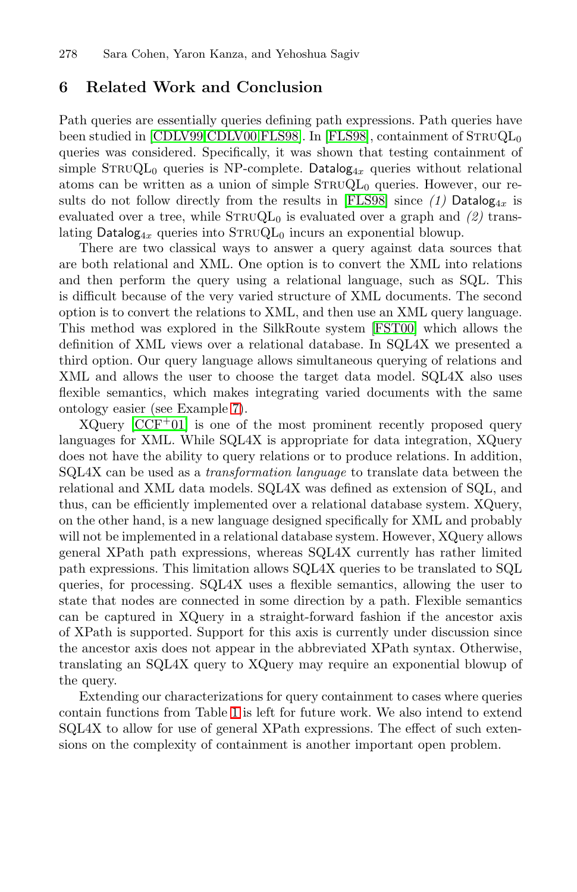### <span id="page-15-0"></span>**6 Related Work and Conclusion**

Path queries are essentially queries defining path expressions. Path queries have been studied in  $[CDLV99, CDLV00, FLS98]$ . In  $[FLS98]$ , containment of  $SrRUQL_0$ queries was considered. Specifically, it was shown that testing containment of simple  $STRUQL_0$  queries is NP-complete. Datalog<sub>4x</sub> queries without relational atoms can be written as a union of simple  $STRUQL_0$  queries. However, our re-sults do not follow directly from the results in [\[FLS98\]](#page-16-0) since  $(1)$  Datalog<sub>4x</sub> is evaluated over a tree, while  $STRUQL_0$  is evaluated over a graph and  $(2)$  translating Datalog<sub>4x</sub> queries into  $STRUQL_0$  incurs an exponential blowup.

There are two classical ways to answer a query against data sources that are both relational and XML. One option is to convert the XML into relations and then perform the query using a relational language, such as SQL. This is difficult because of the very varied structure of XML documents. The second option is to convert the relations to XML, and then use an XML query language. This method was explored in the SilkRoute system [\[FST00\]](#page-16-0) which allows the definition of XML views over a relational database. In SQL4X we presented a third option. Our query language allows simultaneous querying of relations and XML and allows the user to choose the target data model. SQL4X also uses flexible semantics, which makes integrating varied documents with the same ontology easier (see Example [7\)](#page-6-0).

XQuery [\[CCF](#page-16-0)<sup>+</sup>01] is one of the most prominent recently proposed query languages for XML. While SQL4X is appropriate for data integration, XQuery does not have the ability to query relations or to produce relations. In addition, SQL4X can be used as a *transformation language* to translate data between the relational and XML data models. SQL4X was defined as extension of SQL, and thus, can be efficiently implemented over a relational database system. XQuery, on the other hand, is a new language designed specifically for XML and probably will not be implemented in a relational database system. However, XQuery allows general XPath path expressions, whereas SQL4X currently has rather limited path expressions. This limitation allows SQL4X queries to be translated to SQL queries, for processing. SQL4X uses a flexible semantics, allowing the user to state that nodes are connected in some direction by a path. Flexible semantics can be captured in XQuery in a straight-forward fashion if the ancestor axis of XPath is supported. Support for this axis is currently under discussion since the ancestor axis does not appear in the abbreviated XPath syntax. Otherwise, translating an SQL4X query to XQuery may require an exponential blowup of the query.

Extending our characterizations for query containment to cases where queries contain functions from Table [1](#page-2-0) is left for future work. We also intend to extend SQL4X to allow for use of general XPath expressions. The effect of such extensions on the complexity of containment is another important open problem.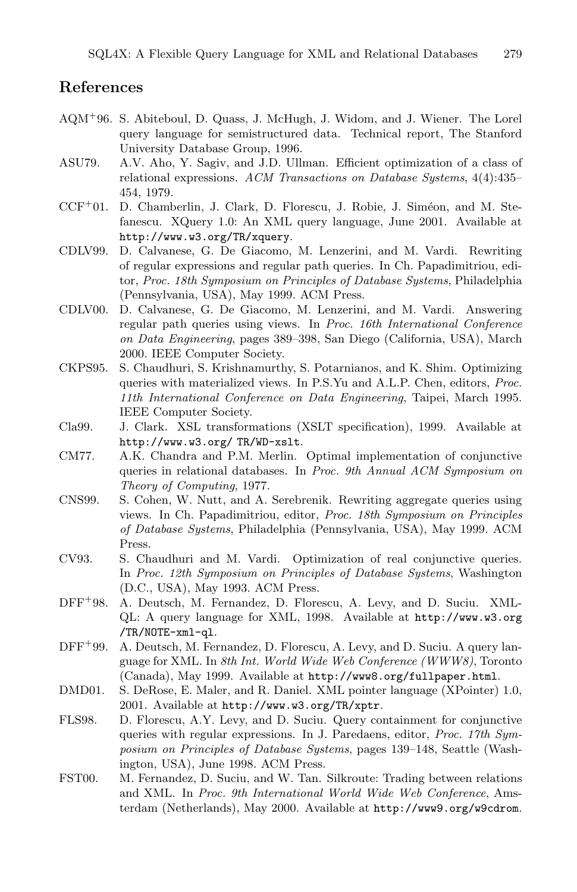### <span id="page-16-0"></span>**References**

- AQM<sup>+</sup>96. S. Abiteboul, D. Quass, J. McHugh, J. Widom, and J. Wiener. The Lorel query language for semistructured data. Technical report, The Stanford University Database Group, 1996.
- ASU79. A.V. Aho, Y. Sagiv, and J.D. Ullman. Efficient optimization of a class of relational expressions. ACM Transactions on Database Systems, 4(4):435– 454, 1979.
- CCF<sup>+</sup>01. D. Chamberlin, J. Clark, D. Florescu, J. Robie, J. Siméon, and M. Stefanescu. XQuery 1.0: An XML query language, June 2001. Available at http://www.w3.org/TR/xquery.
- CDLV99. D. Calvanese, G. De Giacomo, M. Lenzerini, and M. Vardi. Rewriting of regular expressions and regular path queries. In Ch. Papadimitriou, editor, Proc. 18th Symposium on Principles of Database Systems, Philadelphia (Pennsylvania, USA), May 1999. ACM Press.
- CDLV00. D. Calvanese, G. De Giacomo, M. Lenzerini, and M. Vardi. Answering regular path queries using views. In Proc. 16th International Conference on Data Engineering, pages 389–398, San Diego (California, USA), March 2000. IEEE Computer Society.
- CKPS95. S. Chaudhuri, S. Krishnamurthy, S. Potarnianos, and K. Shim. Optimizing queries with materialized views. In P.S.Yu and A.L.P. Chen, editors, Proc. 11th International Conference on Data Engineering, Taipei, March 1995. IEEE Computer Society.
- Cla99. J. Clark. XSL transformations (XSLT specification), 1999. Available at http://www.w3.org/ TR/WD-xslt.
- CM77. A.K. Chandra and P.M. Merlin. Optimal implementation of conjunctive queries in relational databases. In Proc. 9th Annual ACM Symposium on Theory of Computing, 1977.
- CNS99. S. Cohen, W. Nutt, and A. Serebrenik. Rewriting aggregate queries using views. In Ch. Papadimitriou, editor, Proc. 18th Symposium on Principles of Database Systems, Philadelphia (Pennsylvania, USA), May 1999. ACM Press.
- CV93. S. Chaudhuri and M. Vardi. Optimization of real conjunctive queries. In Proc. 12th Symposium on Principles of Database Systems, Washington (D.C., USA), May 1993. ACM Press.
- DFF<sup>+</sup>98. A. Deutsch, M. Fernandez, D. Florescu, A. Levy, and D. Suciu. XML-QL: A query language for XML, 1998. Available at http://www.w3.org /TR/NOTE-xml-ql.
- DFF<sup>+99</sup>. A. Deutsch, M. Fernandez, D. Florescu, A. Levy, and D. Suciu. A query language for XML. In 8th Int. World Wide Web Conference (WWW8), Toronto (Canada), May 1999. Available at http://www8.org/fullpaper.html.
- DMD01. S. DeRose, E. Maler, and R. Daniel. XML pointer language (XPointer) 1.0, 2001. Available at http://www.w3.org/TR/xptr.
- FLS98. D. Florescu, A.Y. Levy, and D. Suciu. Query containment for conjunctive queries with regular expressions. In J. Paredaens, editor, Proc. 17th Symposium on Principles of Database Systems, pages 139–148, Seattle (Washington, USA), June 1998. ACM Press.
- FST00. M. Fernandez, D. Suciu, and W. Tan. Silkroute: Trading between relations and XML. In Proc. 9th International World Wide Web Conference, Amsterdam (Netherlands), May 2000. Available at http://www9.org/w9cdrom.